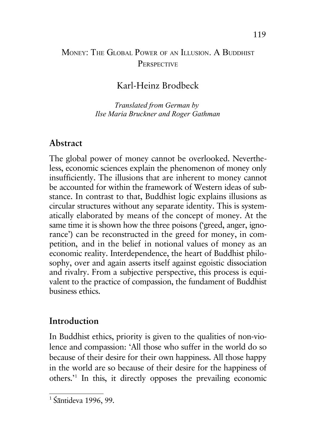## MONEY: THE GLOBAL POWER OF AN ILLUSION A BUDDHIST **PERSPECTIVE**

## Karl-Heinz Brodbeck

*Translated from German by Ilse Maria Bruckner and Roger Gathman*

## **Abstract**

The global power of money cannot be overlooked. Nevertheless, economic sciences explain the phenomenon of money only insufficiently. The illusions that are inherent to money cannot be accounted for within the framework of Western ideas of substance. In contrast to that, Buddhist logic explains illusions as circular structures without any separate identity. This is systematically elaborated by means of the concept of money. At the same time it is shown how the three poisons ('greed, anger, ignorance') can be reconstructed in the greed for money, in competition, and in the belief in notional values of money as an economic reality. Interdependence, the heart of Buddhist philosophy, over and again asserts itself against egoistic dissociation and rivalry. From a subjective perspective, this process is equivalent to the practice of compassion, the fundament of Buddhist business ethics.

## **Introduction**

In Buddhist ethics, priority is given to the qualities of non-violence and compassion: 'All those who suffer in the world do so because of their desire for their own happiness. All those happy in the world are so because of their desire for the happiness of others.'<sup>1</sup> In this, it directly opposes the prevailing economic

<sup>&</sup>lt;sup>1</sup> Śāntideva 1996, 99.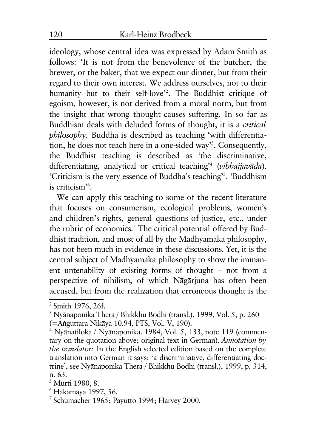ideology, whose central idea was expressed by Adam Smith as follows: 'It is not from the benevolence of the butcher, the brewer, or the baker, that we expect our dinner, but from their regard to their own interest. We address ourselves, not to their humanity but to their self-love'<sup>2</sup> . The Buddhist critique of egoism, however, is not derived from a moral norm, but from the insight that wrong thought causes suffering. In so far as Buddhism deals with deluded forms of thought, it is a *critical philosophy*. Buddha is described as teaching 'with differentiation, he does not teach here in a one-sided way'<sup>3</sup> . Consequently, the Buddhist teaching is described as 'the discriminative, differentiating, analytical or critical teaching<sup>34</sup> (*vibhajjavāda*). 'Criticism is the very essence of Buddha's teaching'<sup>5</sup>. 'Buddhism is criticism'<sup>6</sup> .

We can apply this teaching to some of the recent literature that focuses on consumerism, ecological problems, women's and children's rights, general questions of justice, etc., under the rubric of economics.<sup>7</sup> The critical potential offered by Buddhist tradition, and most of all by the Madhyamaka philosophy, has not been much in evidence in these discussions. Yet, it is the central subject of Madhyamaka philosophy to show the immanent untenability of existing forms of thought – not from a perspective of nihilism, of which Nāgārjuna has often been accused, but from the realization that erroneous thought is the

<sup>2</sup> Smith 1976, 26f.

 $3$  Nyānaponika Thera / Bhikkhu Bodhi (transl.), 1999, Vol. 5, p. 260 (=Anguttara Nikāya 10.94, PTS, Vol. V, 190).

<sup>&</sup>lt;sup>4</sup> Nyānatiloka / Nyānaponika. 1984, Vol. 5, 133, note 119 (commentary on the quotation above; original text in German). *Annotation by the translator:* In the English selected edition based on the complete translation into German it says: 'a discriminative, differentiating doctrine', see Nyānaponika Thera / Bhikkhu Bodhi (transl.), 1999, p. 314, n. 63.

<sup>5</sup> Murti 1980, 8.

<sup>6</sup> Hakamaya 1997, 56.

<sup>7</sup> Schumacher 1965; Payutto 1994; Harvey 2000.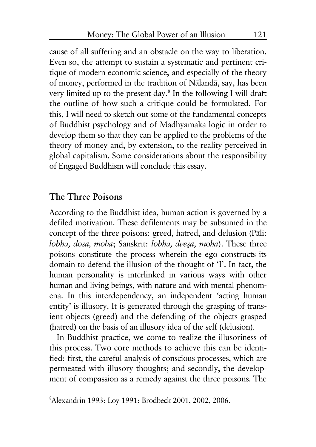cause of all suffering and an obstacle on the way to liberation. Even so, the attempt to sustain a systematic and pertinent critique of modern economic science, and especially of the theory of money, performed in the tradition of Nālandā, say, has been very limited up to the present day.<sup>8</sup> In the following I will draft the outline of how such a critique could be formulated. For this, I will need to sketch out some of the fundamental concepts of Buddhist psychology and of Madhyamaka logic in order to develop them so that they can be applied to the problems of the theory of money and, by extension, to the reality perceived in global capitalism. Some considerations about the responsibility of Engaged Buddhism will conclude this essay.

#### **The Three Poisons**

According to the Buddhist idea, human action is governed by a defiled motivation. These defilements may be subsumed in the concept of the three poisons: greed, hatred, and delusion (Pāli: *lobha, dosa, moha*; Sanskrit: *lobha, dveşa, moha*). These three poisons constitute the process wherein the ego constructs its domain to defend the illusion of the thought of 'I'. In fact, the human personality is interlinked in various ways with other human and living beings, with nature and with mental phenomena. In this interdependency, an independent 'acting human entity' is illusory. It is generated through the grasping of transient objects (greed) and the defending of the objects grasped (hatred) on the basis of an illusory idea of the self (delusion).

In Buddhist practice, we come to realize the illusoriness of this process. Two core methods to achieve this can be identified: first, the careful analysis of conscious processes, which are permeated with illusory thoughts; and secondly, the development of compassion as a remedy against the three poisons. The

<sup>8</sup>Alexandrin 1993; Loy 1991; Brodbeck 2001, 2002, 2006.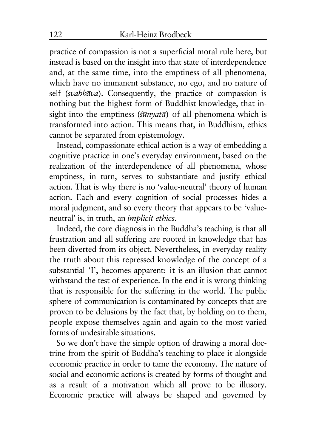practice of compassion is not a superficial moral rule here, but instead is based on the insight into that state of interdependence and, at the same time, into the emptiness of all phenomena, which have no immanent substance, no ego, and no nature of self (*svabhava*). Consequently, the practice of compassion is nothing but the highest form of Buddhist knowledge, that insight into the emptiness (*sūnyatā*) of all phenomena which is transformed into action. This means that, in Buddhism, ethics cannot be separated from epistemology.

Instead, compassionate ethical action is a way of embedding a cognitive practice in one's everyday environment, based on the realization of the interdependence of all phenomena, whose emptiness, in turn, serves to substantiate and justify ethical action. That is why there is no 'value-neutral' theory of human action. Each and every cognition of social processes hides a moral judgment, and so every theory that appears to be 'valueneutral' is, in truth, an *implicit ethics*.

Indeed, the core diagnosis in the Buddha's teaching is that all frustration and all suffering are rooted in knowledge that has been diverted from its object. Nevertheless, in everyday reality the truth about this repressed knowledge of the concept of a substantial 'I', becomes apparent: it is an illusion that cannot withstand the test of experience. In the end it is wrong thinking that is responsible for the suffering in the world. The public sphere of communication is contaminated by concepts that are proven to be delusions by the fact that, by holding on to them, people expose themselves again and again to the most varied forms of undesirable situations.

So we don't have the simple option of drawing a moral doctrine from the spirit of Buddha's teaching to place it alongside economic practice in order to tame the economy. The nature of social and economic actions is created by forms of thought and as a result of a motivation which all prove to be illusory. Economic practice will always be shaped and governed by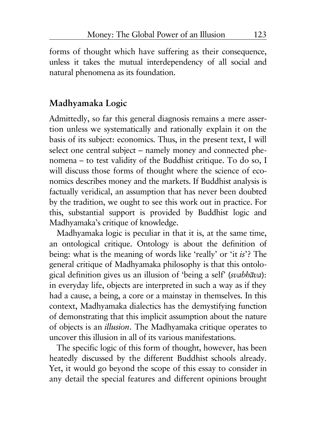forms of thought which have suffering as their consequence, unless it takes the mutual interdependency of all social and natural phenomena as its foundation.

## **Madhyamaka Logic**

Admittedly, so far this general diagnosis remains a mere assertion unless we systematically and rationally explain it on the basis of its subject: economics. Thus, in the present text, I will select one central subject – namely money and connected phenomena – to test validity of the Buddhist critique. To do so, I will discuss those forms of thought where the science of economics describes money and the markets. If Buddhist analysis is factually veridical, an assumption that has never been doubted by the tradition, we ought to see this work out in practice. For this, substantial support is provided by Buddhist logic and Madhyamaka's critique of knowledge.

Madhyamaka logic is peculiar in that it is, at the same time, an ontological critique. Ontology is about the definition of being: what is the meaning of words like 'really' or 'it *is*'? The general critique of Madhyamaka philosophy is that this ontological definition gives us an illusion of 'being a self' (*svabhÄva*): in everyday life, objects are interpreted in such a way as if they had a cause, a being, a core or a mainstay in themselves. In this context, Madhyamaka dialectics has the demystifying function of demonstrating that this implicit assumption about the nature of objects is an *illusion*. The Madhyamaka critique operates to uncover this illusion in all of its various manifestations.

The specific logic of this form of thought, however, has been heatedly discussed by the different Buddhist schools already. Yet, it would go beyond the scope of this essay to consider in any detail the special features and different opinions brought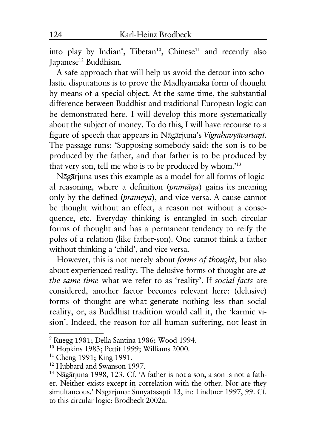into play by Indian<sup>9</sup>, Tibetan<sup>10</sup>, Chinese<sup>11</sup> and recently also Japanese<sup>12</sup> Buddhism.

A safe approach that will help us avoid the detour into scholastic disputations is to prove the Madhyamaka form of thought by means of a special object. At the same time, the substantial difference between Buddhist and traditional European logic can be demonstrated here. I will develop this more systematically about the subject of money. To do this, I will have recourse to a figure of speech that appears in Nāgārjuna's *Vigrahavyāvartaṇī*. The passage runs: 'Supposing somebody said: the son is to be produced by the father, and that father is to be produced by that very son, tell me who is to be produced by whom.'<sup>13</sup>

Nāgārjuna uses this example as a model for all forms of logical reasoning, where a definition (*pramāņa*) gains its meaning only by the defined (*prameya*), and vice versa. A cause cannot be thought without an effect, a reason not without a consequence, etc. Everyday thinking is entangled in such circular forms of thought and has a permanent tendency to reify the poles of a relation (like father-son). One cannot think a father without thinking a 'child', and vice versa.

However, this is not merely about *forms of thought*, but also about experienced reality: The delusive forms of thought are *at the same time* what we refer to as 'reality'. If *social facts* are considered, another factor becomes relevant here: (delusive) forms of thought are what generate nothing less than social reality, or, as Buddhist tradition would call it, the 'karmic vision'. Indeed, the reason for all human suffering, not least in

 $9$  Ruegg 1981; Della Santina 1986; Wood 1994.

<sup>10</sup> Hopkins 1983; Pettit 1999; Williams 2000.

<sup>&</sup>lt;sup>11</sup> Cheng 1991; King 1991.

<sup>&</sup>lt;sup>12</sup> Hubbard and Swanson 1997.

 $13$  Nāgārjuna 1998, 123. Cf. 'A father is not a son, a son is not a father. Neither exists except in correlation with the other. Nor are they simultaneous.' Nāgārjuna: Śūnyatāsapti 13, in: Lindtner 1997, 99. Cf. to this circular logic: Brodbeck 2002a.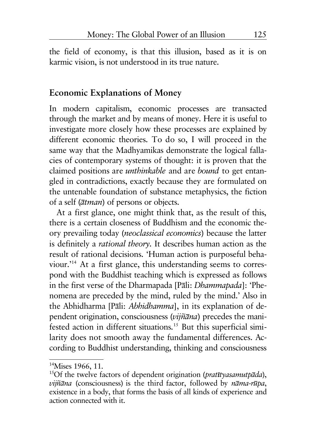the field of economy, is that this illusion, based as it is on karmic vision, is not understood in its true nature.

#### **Economic Explanations of Money**

In modern capitalism, economic processes are transacted through the market and by means of money. Here it is useful to investigate more closely how these processes are explained by different economic theories. To do so, I will proceed in the same way that the Madhyamikas demonstrate the logical fallacies of contemporary systems of thought: it is proven that the claimed positions are *unthinkable* and are *bound* to get entangled in contradictions, exactly because they are formulated on the untenable foundation of substance metaphysics, the fiction of a self (*Ätman*) of persons or objects.

At a first glance, one might think that, as the result of this, there is a certain closeness of Buddhism and the economic theory prevailing today (*neoclassical economics*) because the latter is definitely a *rational theory*. It describes human action as the result of rational decisions. 'Human action is purposeful behaviour.'<sup>14</sup> At a first glance, this understanding seems to correspond with the Buddhist teaching which is expressed as follows in the first verse of the Dharmapada [Pāli: *Dhammapada*]: 'Phenomena are preceded by the mind, ruled by the mind.' Also in the Abhidharma [Pāli: *Abhidhamma*], in its explanation of dependent origination, consciousness (*vijñana*) precedes the manifested action in different situations.<sup>15</sup> But this superficial similarity does not smooth away the fundamental differences. According to Buddhist understanding, thinking and consciousness

 $14$ Mises 1966, 11.

<sup>&</sup>lt;sup>15</sup>Of the twelve factors of dependent origination (*pratityasamutpāda*), *vijñāna* (consciousness) is the third factor, followed by *nāma-rūpa*, existence in a body, that forms the basis of all kinds of experience and action connected with it.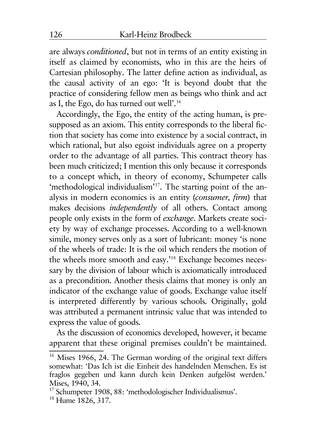are always *conditioned*, but not in terms of an entity existing in itself as claimed by economists, who in this are the heirs of Cartesian philosophy. The latter define action as individual, as the causal activity of an ego: 'It is beyond doubt that the practice of considering fellow men as beings who think and act as I, the Ego, do has turned out well'.<sup>16</sup>

Accordingly, the Ego, the entity of the acting human, is presupposed as an axiom. This entity corresponds to the liberal fiction that society has come into existence by a social contract, in which rational, but also egoist individuals agree on a property order to the advantage of all parties. This contract theory has been much criticized; I mention this only because it corresponds to a concept which, in theory of economy, Schumpeter calls 'methodological individualism'<sup>17</sup>. The starting point of the analysis in modern economics is an entity (*consumer, firm*) that makes decisions *independently* of all others. Contact among people only exists in the form of *exchange*. Markets create society by way of exchange processes. According to a well-known simile, money serves only as a sort of lubricant: money 'is none of the wheels of trade: It is the oil which renders the motion of the wheels more smooth and easy.'<sup>18</sup> Exchange becomes necessary by the division of labour which is axiomatically introduced as a precondition. Another thesis claims that money is only an indicator of the exchange value of goods. Exchange value itself is interpreted differently by various schools. Originally, gold was attributed a permanent intrinsic value that was intended to express the value of goods.

As the discussion of economics developed, however, it became apparent that these original premises couldn't be maintained.

<sup>&</sup>lt;sup>16</sup> Mises 1966, 24. The German wording of the original text differs somewhat: 'Das Ich ist die Einheit des handelnden Menschen. Es ist fraglos gegeben und kann durch kein Denken aufgelást werden.' Mises, 1940, 34.

<sup>17</sup> Schumpeter 1908, 88: 'methodologischer Individualismus'.

<sup>&</sup>lt;sup>18</sup> Hume 1826, 317.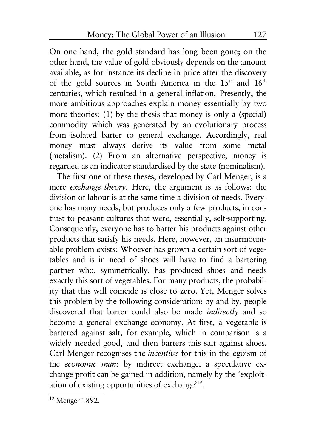On one hand, the gold standard has long been gone; on the other hand, the value of gold obviously depends on the amount available, as for instance its decline in price after the discovery of the gold sources in South America in the  $15<sup>th</sup>$  and  $16<sup>th</sup>$ centuries, which resulted in a general inflation. Presently, the more ambitious approaches explain money essentially by two more theories: (1) by the thesis that money is only a (special) commodity which was generated by an evolutionary process from isolated barter to general exchange. Accordingly, real money must always derive its value from some metal (metalism). (2) From an alternative perspective, money is regarded as an indicator standardised by the state (nominalism).

The first one of these theses, developed by Carl Menger, is a mere *exchange theory*. Here, the argument is as follows: the division of labour is at the same time a division of needs. Everyone has many needs, but produces only a few products, in contrast to peasant cultures that were, essentially, self-supporting. Consequently, everyone has to barter his products against other products that satisfy his needs. Here, however, an insurmountable problem exists: Whoever has grown a certain sort of vegetables and is in need of shoes will have to find a bartering partner who, symmetrically, has produced shoes and needs exactly this sort of vegetables. For many products, the probability that this will coincide is close to zero. Yet, Menger solves this problem by the following consideration: by and by, people discovered that barter could also be made *indirectly* and so become a general exchange economy. At first, a vegetable is bartered against salt, for example, which in comparison is a widely needed good, and then barters this salt against shoes. Carl Menger recognises the *incentive* for this in the egoism of the *economic man*: by indirect exchange, a speculative exchange profit can be gained in addition, namely by the 'exploitation of existing opportunities of exchange'<sup>19</sup> .

<sup>&</sup>lt;sup>19</sup> Menger 1892.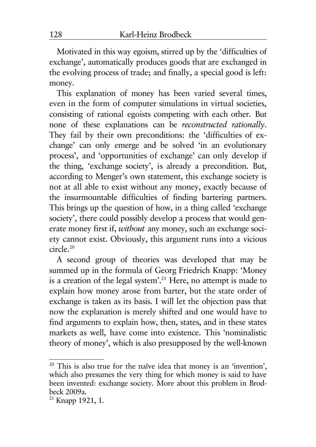Motivated in this way egoism, stirred up by the 'difficulties of exchange', automatically produces goods that are exchanged in the evolving process of trade; and finally, a special good is left: money.

This explanation of money has been varied several times, even in the form of computer simulations in virtual societies, consisting of rational egoists competing with each other. But none of these explanations can be *reconstructed rationally*. They fail by their own preconditions: the 'difficulties of exchange' can only emerge and be solved 'in an evolutionary process', and 'opportunities of exchange' can only develop if the thing, 'exchange society', is already a precondition. But, according to Menger's own statement, this exchange society is not at all able to exist without any money, exactly because of the insurmountable difficulties of finding bartering partners. This brings up the question of how, in a thing called 'exchange society', there could possibly develop a process that would generate money first if, *without* any money, such an exchange society cannot exist. Obviously, this argument runs into a vicious circle.<sup>20</sup>

A second group of theories was developed that may be summed up in the formula of Georg Friedrich Knapp: 'Money is a creation of the legal system'.<sup>21</sup> Here, no attempt is made to explain how money arose from barter, but the state order of exchange is taken as its basis. I will let the objection pass that now the explanation is merely shifted and one would have to find arguments to explain how, then, states, and in these states markets as well, have come into existence. This 'nominalistic theory of money', which is also presupposed by the well-known

 $20$  This is also true for the naïve idea that money is an 'invention', which also presumes the very thing for which money is said to have been invented: exchange society. More about this problem in Brodbeck 2009a.

<sup>&</sup>lt;sup>21</sup> Knapp 1921, 1.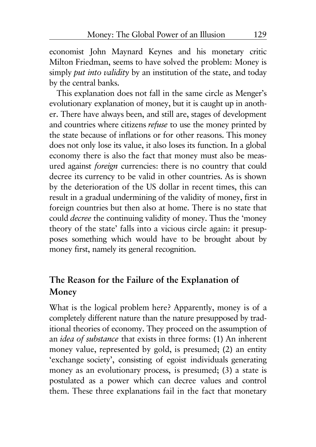economist John Maynard Keynes and his monetary critic Milton Friedman, seems to have solved the problem: Money is simply *put into validity* by an institution of the state, and today by the central banks.

This explanation does not fall in the same circle as Menger's evolutionary explanation of money, but it is caught up in another. There have always been, and still are, stages of development and countries where citizens *refuse* to use the money printed by the state because of inflations or for other reasons. This money does not only lose its value, it also loses its function. In a global economy there is also the fact that money must also be measured against *foreign* currencies: there is no country that could decree its currency to be valid in other countries. As is shown by the deterioration of the US dollar in recent times, this can result in a gradual undermining of the validity of money, first in foreign countries but then also at home. There is no state that could *decree* the continuing validity of money. Thus the 'money theory of the state' falls into a vicious circle again: it presupposes something which would have to be brought about by money first, namely its general recognition.

## **The Reason for the Failure of the Explanation of Money**

What is the logical problem here? Apparently, money is of a completely different nature than the nature presupposed by traditional theories of economy. They proceed on the assumption of an *idea of substance* that exists in three forms: (1) An inherent money value, represented by gold, is presumed; (2) an entity 'exchange society', consisting of egoist individuals generating money as an evolutionary process, is presumed; (3) a state is postulated as a power which can decree values and control them. These three explanations fail in the fact that monetary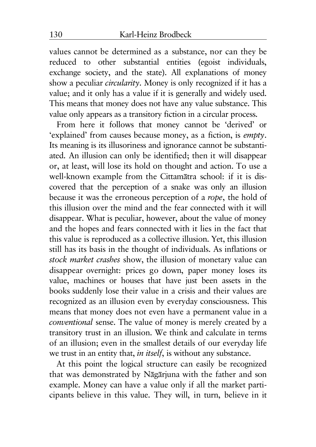values cannot be determined as a substance, nor can they be reduced to other substantial entities (egoist individuals, exchange society, and the state). All explanations of money show a peculiar *circularity*. Money is only recognized if it has a value; and it only has a value if it is generally and widely used. This means that money does not have any value substance. This value only appears as a transitory fiction in a circular process.

From here it follows that money cannot be 'derived' or 'explained' from causes because money, as a fiction, is *empty*. Its meaning is its illusoriness and ignorance cannot be substantiated. An illusion can only be identified; then it will disappear or, at least, will lose its hold on thought and action. To use a well-known example from the Cittamātra school: if it is discovered that the perception of a snake was only an illusion because it was the erroneous perception of a *rope*, the hold of this illusion over the mind and the fear connected with it will disappear. What is peculiar, however, about the value of money and the hopes and fears connected with it lies in the fact that this value is reproduced as a collective illusion. Yet, this illusion still has its basis in the thought of individuals. As inflations or *stock market crashes* show, the illusion of monetary value can disappear overnight: prices go down, paper money loses its value, machines or houses that have just been assets in the books suddenly lose their value in a crisis and their values are recognized as an illusion even by everyday consciousness. This means that money does not even have a permanent value in a *conventional* sense. The value of money is merely created by a transitory trust in an illusion. We think and calculate in terms of an illusion; even in the smallest details of our everyday life we trust in an entity that, *in itself*, is without any substance.

At this point the logical structure can easily be recognized that was demonstrated by Nāgārjuna with the father and son example. Money can have a value only if all the market participants believe in this value. They will, in turn, believe in it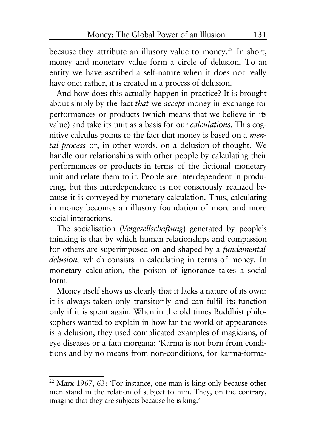because they attribute an illusory value to money.<sup>22</sup> In short, money and monetary value form a circle of delusion. To an entity we have ascribed a self-nature when it does not really have one; rather, it is created in a process of delusion.

And how does this actually happen in practice? It is brought about simply by the fact *that* we *accept* money in exchange for performances or products (which means that we believe in its value) and take its unit as a basis for our *calculations*. This cognitive calculus points to the fact that money is based on a *mental process* or, in other words, on a delusion of thought. We handle our relationships with other people by calculating their performances or products in terms of the fictional monetary unit and relate them to it. People are interdependent in producing, but this interdependence is not consciously realized because it is conveyed by monetary calculation. Thus, calculating in money becomes an illusory foundation of more and more social interactions.

The socialisation (*Vergesellschaftung*) generated by people's thinking is that by which human relationships and compassion for others are superimposed on and shaped by a *fundamental delusion,* which consists in calculating in terms of money. In monetary calculation, the poison of ignorance takes a social form.

Money itself shows us clearly that it lacks a nature of its own: it is always taken only transitorily and can fulfil its function only if it is spent again. When in the old times Buddhist philosophers wanted to explain in how far the world of appearances is a delusion, they used complicated examples of magicians, of eye diseases or a fata morgana: 'Karma is not born from conditions and by no means from non-conditions, for karma-forma-

 $22$  Marx 1967, 63: 'For instance, one man is king only because other men stand in the relation of subject to him. They, on the contrary, imagine that they are subjects because he is king.'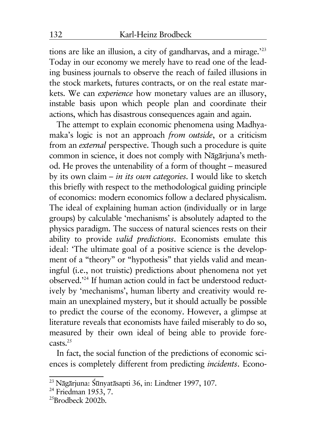tions are like an illusion, a city of gandharvas, and a mirage.'<sup>23</sup> Today in our economy we merely have to read one of the leading business journals to observe the reach of failed illusions in the stock markets, futures contracts, or on the real estate markets. We can *experience* how monetary values are an illusory, instable basis upon which people plan and coordinate their actions, which has disastrous consequences again and again.

The attempt to explain economic phenomena using Madhyamaka's logic is not an approach *from outside*, or a criticism from an *external* perspective. Though such a procedure is quite common in science, it does not comply with Nāgārjuna's method. He proves the untenability of a form of thought – measured by its own claim – *in its own categories*. I would like to sketch this briefly with respect to the methodological guiding principle of economics: modern economics follow a declared physicalism. The ideal of explaining human action (individually or in large groups) by calculable 'mechanisms' is absolutely adapted to the physics paradigm. The success of natural sciences rests on their ability to provide *valid predictions*. Economists emulate this ideal: 'The ultimate goal of a positive science is the development of a "theory" or "hypothesis" that yields valid and meaningful (i.e., not truistic) predictions about phenomena not yet observed.'<sup>24</sup> If human action could in fact be understood reductively by 'mechanisms', human liberty and creativity would remain an unexplained mystery, but it should actually be possible to predict the course of the economy. However, a glimpse at literature reveals that economists have failed miserably to do so, measured by their own ideal of being able to provide fore $casts.<sup>25</sup>$ 

In fact, the social function of the predictions of economic sciences is completely different from predicting *incidents*. Econo-

 $^{23}$  Nāgārjuna: Śūnyatāsapti 36, in: Lindtner 1997, 107.

<sup>&</sup>lt;sup>24</sup> Friedman 1953, 7.

 $^{25}$ Brodbeck 2002b.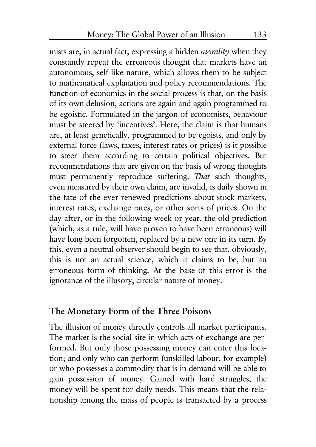mists are, in actual fact, expressing a hidden *morality* when they constantly repeat the erroneous thought that markets have an autonomous, self-like nature, which allows them to be subject to mathematical explanation and policy recommendations. The function of economics in the social process is that, on the basis of its own delusion, actions are again and again programmed to be egoistic. Formulated in the jargon of economists, behaviour must be steered by 'incentives'. Here, the claim is that humans are, at least genetically, programmed to be egoists, and only by external force (laws, taxes, interest rates or prices) is it possible to steer them according to certain political objectives. But recommendations that are given on the basis of wrong thoughts must permanently reproduce suffering. *That* such thoughts, even measured by their own claim, are invalid, is daily shown in the fate of the ever renewed predictions about stock markets, interest rates, exchange rates, or other sorts of prices. On the day after, or in the following week or year, the old prediction (which, as a rule, will have proven to have been erroneous) will have long been forgotten, replaced by a new one in its turn. By this, even a neutral observer should begin to see that, obviously, this is not an actual science, which it claims to be, but an erroneous form of thinking. At the base of this error is the ignorance of the illusory, circular nature of money.

## **The Monetary Form of the Three Poisons**

The illusion of money directly controls all market participants. The market is the social site in which acts of exchange are performed. But only those possessing money can enter this location; and only who can perform (unskilled labour, for example) or who possesses a commodity that is in demand will be able to gain possession of money. Gained with hard struggles, the money will be spent for daily needs. This means that the relationship among the mass of people is transacted by a process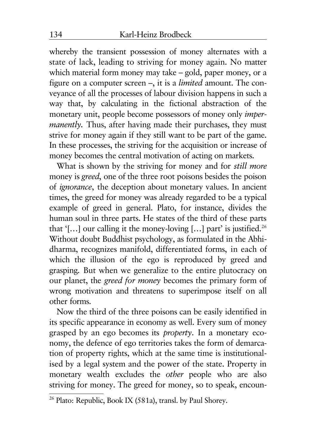whereby the transient possession of money alternates with a state of lack, leading to striving for money again. No matter which material form money may take – gold, paper money, or a figure on a computer screen –, it is a *limited* amount. The conveyance of all the processes of labour division happens in such a way that, by calculating in the fictional abstraction of the monetary unit, people become possessors of money only *impermanently*. Thus, after having made their purchases, they must strive for money again if they still want to be part of the game. In these processes, the striving for the acquisition or increase of money becomes the central motivation of acting on markets.

What is shown by the striving for money and for *still more* money is *greed*, one of the three root poisons besides the poison of *ignorance*, the deception about monetary values. In ancient times, the greed for money was already regarded to be a typical example of greed in general. Plato, for instance, divides the human soul in three parts. He states of the third of these parts that '[...] our calling it the money-loving  $[...]$  part' is justified.<sup>26</sup> Without doubt Buddhist psychology, as formulated in the Abhidharma, recognizes manifold, differentiated forms, in each of which the illusion of the ego is reproduced by greed and grasping. But when we generalize to the entire plutocracy on our planet, the *greed for money* becomes the primary form of wrong motivation and threatens to superimpose itself on all other forms.

Now the third of the three poisons can be easily identified in its specific appearance in economy as well. Every sum of money grasped by an ego becomes its *property*. In a monetary economy, the defence of ego territories takes the form of demarcation of property rights, which at the same time is institutionalised by a legal system and the power of the state. Property in monetary wealth excludes the *other* people who are also striving for money. The greed for money, so to speak, encoun-

<sup>&</sup>lt;sup>26</sup> Plato: Republic, Book IX (581a), transl. by Paul Shorey.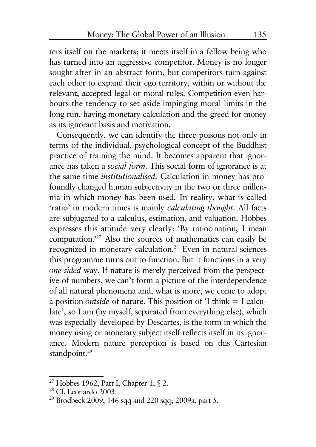ters itself on the markets; it meets itself in a fellow being who has turned into an aggressive competitor. Money is no longer sought after in an abstract form, but competitors turn against each other to expand their ego territory, within or without the relevant, accepted legal or moral rules. Competition even harbours the tendency to set aside impinging moral limits in the long run, having monetary calculation and the greed for money as its ignorant basis and motivation.

Consequently, we can identify the three poisons not only in terms of the individual, psychological concept of the Buddhist practice of training the mind. It becomes apparent that ignorance has taken a *social form*. This social form of ignorance is at the same time *institutionalised*. Calculation in money has profoundly changed human subjectivity in the two or three millennia in which money has been used. In reality, what is called 'ratio' in modern times is mainly *calculating thought*. All facts are subjugated to a calculus, estimation, and valuation. Hobbes expresses this attitude very clearly: 'By ratiocination, I mean computation.'<sup>27</sup> Also the sources of mathematics can easily be recognized in monetary calculation.<sup>28</sup> Even in natural sciences this programme turns out to function. But it functions in a very *one-sided* way. If nature is merely perceived from the perspective of numbers, we can't form a picture of the interdependence of all natural phenomena and, what is more, we come to adopt a position *outside* of nature. This position of 'I think = I calculate', so I am (by myself, separated from everything else), which was especially developed by Descartes, is the form in which the money using or monetary subject itself reflects itself in its ignorance. Modern nature perception is based on this Cartesian standpoint.<sup>29</sup>

<sup>&</sup>lt;sup>27</sup> Hobbes 1962, Part I, Chapter 1,  $\$ 2.

 $28$  Cf. Leonardo 2003.

<sup>&</sup>lt;sup>29</sup> Brodbeck 2009, 146 sqq and 220 sqq; 2009a, part 5.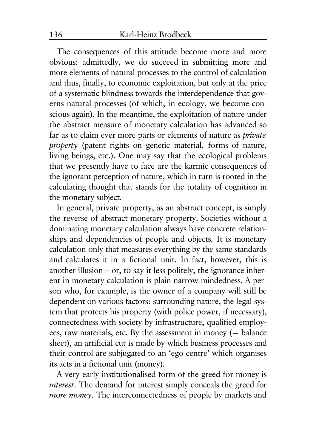The consequences of this attitude become more and more obvious: admittedly, we do succeed in submitting more and more elements of natural processes to the control of calculation and thus, finally, to economic exploitation, but only at the price of a systematic blindness towards the interdependence that governs natural processes (of which, in ecology, we become conscious again). In the meantime, the exploitation of nature under the abstract measure of monetary calculation has advanced so far as to claim ever more parts or elements of nature as *private property* (patent rights on genetic material, forms of nature, living beings, etc.). One may say that the ecological problems that we presently have to face are the karmic consequences of the ignorant perception of nature, which in turn is rooted in the calculating thought that stands for the totality of cognition in the monetary subject.

In general, private property, as an abstract concept, is simply the reverse of abstract monetary property. Societies without a dominating monetary calculation always have concrete relationships and dependencies of people and objects. It is monetary calculation only that measures everything by the same standards and calculates it in a fictional unit. In fact, however, this is another illusion – or, to say it less politely, the ignorance inherent in monetary calculation is plain narrow-mindedness. A person who, for example, is the owner of a company will still be dependent on various factors: surrounding nature, the legal system that protects his property (with police power, if necessary), connectedness with society by infrastructure, qualified employees, raw materials, etc. By the assessment in money (= balance sheet), an artificial cut is made by which business processes and their control are subjugated to an 'ego centre' which organises its acts in a fictional unit (money).

A very early institutionalised form of the greed for money is *interest*. The demand for interest simply conceals the greed for *more money*. The interconnectedness of people by markets and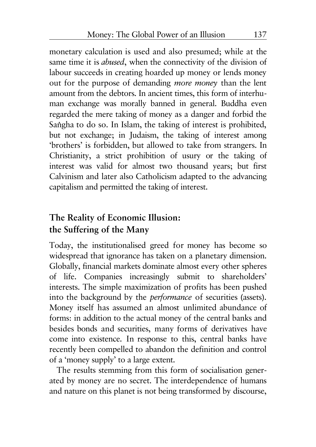monetary calculation is used and also presumed; while at the same time it is *abused*, when the connectivity of the division of labour succeeds in creating hoarded up money or lends money out for the purpose of demanding *more money* than the lent amount from the debtors. In ancient times, this form of interhuman exchange was morally banned in general. Buddha even regarded the mere taking of money as a danger and forbid the Sangha to do so. In Islam, the taking of interest is prohibited, but not exchange; in Judaism, the taking of interest among 'brothers' is forbidden, but allowed to take from strangers. In Christianity, a strict prohibition of usury or the taking of interest was valid for almost two thousand years; but first Calvinism and later also Catholicism adapted to the advancing capitalism and permitted the taking of interest.

# **The Reality of Economic Illusion: the Suffering of the Many**

Today, the institutionalised greed for money has become so widespread that ignorance has taken on a planetary dimension. Globally, financial markets dominate almost every other spheres of life. Companies increasingly submit to shareholders' interests. The simple maximization of profits has been pushed into the background by the *performance* of securities (assets). Money itself has assumed an almost unlimited abundance of forms: in addition to the actual money of the central banks and besides bonds and securities, many forms of derivatives have come into existence. In response to this, central banks have recently been compelled to abandon the definition and control of a 'money supply' to a large extent.

The results stemming from this form of socialisation generated by money are no secret. The interdependence of humans and nature on this planet is not being transformed by discourse,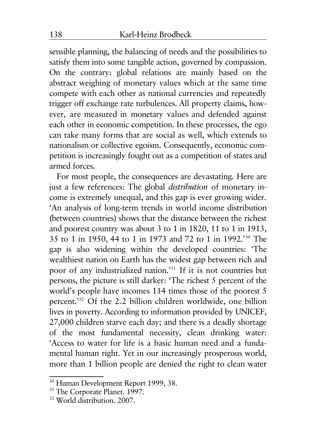sensible planning, the balancing of needs and the possibilities to satisfy them into some tangible action, governed by compassion. On the contrary: global relations are mainly based on the abstract weighing of monetary values which at the same time compete with each other as national currencies and repeatedly trigger off exchange rate turbulences. All property claims, however, are measured in monetary values and defended against each other in economic competition. In these processes, the ego can take many forms that are social as well, which extends to nationalism or collective egoism. Consequently, economic competition is increasingly fought out as a competition of states and armed forces.

For most people, the consequences are devastating. Here are just a few references: The global *distribution* of monetary income is extremely unequal, and this gap is ever growing wider. 'An analysis of long-term trends in world income distribution (between countries) shows that the distance between the richest and poorest country was about 3 to 1 in 1820, 11 to 1 in 1913, 35 to 1 in 1950, 44 to 1 in 1973 and 72 to 1 in 1992.'<sup>30</sup> The gap is also widening within the developed countries: 'The wealthiest nation on Earth has the widest gap between rich and poor of any industrialized nation.'<sup>31</sup> If it is not countries but persons, the picture is still darker: 'The richest 5 percent of the world's people have incomes 114 times those of the poorest 5 percent.'<sup>32</sup> Of the 2.2 billion children worldwide, one billion lives in poverty. According to information provided by UNICEF, 27,000 children starve each day; and there is a deadly shortage of the most fundamental necessity, clean drinking water: 'Access to water for life is a basic human need and a fundamental human right. Yet in our increasingly prosperous world, more than 1 billion people are denied the right to clean water

<sup>&</sup>lt;sup>30</sup> Human Development Report 1999, 38.

<sup>&</sup>lt;sup>31</sup> The Corporate Planet. 1997.

<sup>32</sup> World distribution. 2007.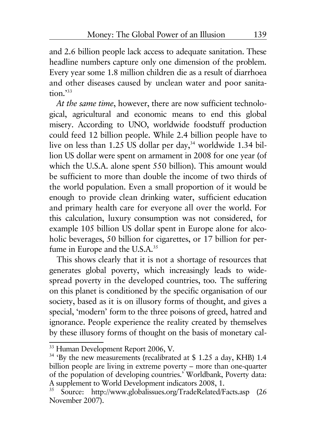and 2.6 billion people lack access to adequate sanitation. These headline numbers capture only one dimension of the problem. Every year some 1.8 million children die as a result of diarrhoea and other diseases caused by unclean water and poor sanitation.'<sup>33</sup>

*At the same time*, however, there are now sufficient technological, agricultural and economic means to end this global misery. According to UNO, worldwide foodstuff production could feed 12 billion people. While 2.4 billion people have to live on less than 1.25 US dollar per day,<sup>34</sup> worldwide 1.34 billion US dollar were spent on armament in 2008 for one year (of which the U.S.A. alone spent 550 billion). This amount would be sufficient to more than double the income of two thirds of the world population. Even a small proportion of it would be enough to provide clean drinking water, sufficient education and primary health care for everyone all over the world. For this calculation, luxury consumption was not considered, for example 105 billion US dollar spent in Europe alone for alcoholic beverages, 50 billion for cigarettes, or 17 billion for perfume in Europe and the U.S.A.<sup>35</sup>

This shows clearly that it is not a shortage of resources that generates global poverty, which increasingly leads to widespread poverty in the developed countries, too. The suffering on this planet is conditioned by the specific organisation of our society, based as it is on illusory forms of thought, and gives a special, 'modern' form to the three poisons of greed, hatred and ignorance. People experience the reality created by themselves by these illusory forms of thought on the basis of monetary cal-

<sup>&</sup>lt;sup>33</sup> Human Development Report 2006, V.

<sup>&</sup>lt;sup>34</sup> 'By the new measurements (recalibrated at \$ 1.25 a day, KHB) 1.4 billion people are living in extreme poverty – more than one-quarter of the population of developing countries.' Worldbank, Poverty data: A supplement to World Development indicators 2008, 1.

<sup>35</sup> Source: http://www.globalissues.org/TradeRelated/Facts.asp (26 November 2007).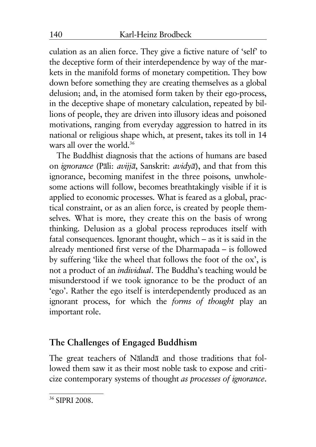culation as an alien force. They give a fictive nature of 'self' to the deceptive form of their interdependence by way of the markets in the manifold forms of monetary competition. They bow down before something they are creating themselves as a global delusion; and, in the atomised form taken by their ego-process, in the deceptive shape of monetary calculation, repeated by billions of people, they are driven into illusory ideas and poisoned motivations, ranging from everyday aggression to hatred in its national or religious shape which, at present, takes its toll in 14 wars all over the world <sup>36</sup>

The Buddhist diagnosis that the actions of humans are based on *ignorance* (PÉli: *avijjÄ*, Sanskrit: *avidyÄ*), and that from this ignorance, becoming manifest in the three poisons, unwholesome actions will follow, becomes breathtakingly visible if it is applied to economic processes. What is feared as a global, practical constraint, or as an alien force, is created by people themselves. What is more, they create this on the basis of wrong thinking. Delusion as a global process reproduces itself with fatal consequences. Ignorant thought, which – as it is said in the already mentioned first verse of the Dharmapada – is followed by suffering 'like the wheel that follows the foot of the ox', is not a product of an *individual*. The Buddha's teaching would be misunderstood if we took ignorance to be the product of an 'ego'. Rather the ego itself is interdependently produced as an ignorant process, for which the *forms of thought* play an important role.

# **The Challenges of Engaged Buddhism**

The great teachers of Nālandā and those traditions that followed them saw it as their most noble task to expose and criticize contemporary systems of thought *as processes of ignorance*.

<sup>36</sup> SIPRI 2008.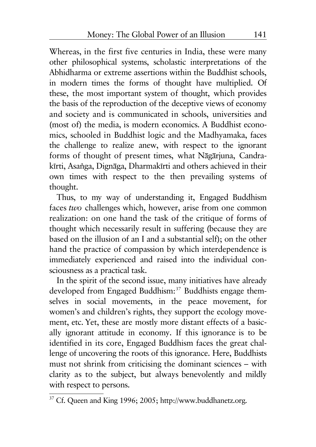Whereas, in the first five centuries in India, these were many other philosophical systems, scholastic interpretations of the Abhidharma or extreme assertions within the Buddhist schools, in modern times the forms of thought have multiplied. Of these, the most important system of thought, which provides the basis of the reproduction of the deceptive views of economy and society and is communicated in schools, universities and (most of) the media, is modern economics. A Buddhist economics, schooled in Buddhist logic and the Madhyamaka, faces the challenge to realize anew, with respect to the ignorant forms of thought of present times, what Nāgārjuna, Candrakīrti, Asanga, Dignāga, Dharmakīrti and others achieved in their own times with respect to the then prevailing systems of thought.

Thus, to my way of understanding it, Engaged Buddhism faces *two* challenges which, however, arise from one common realization: on one hand the task of the critique of forms of thought which necessarily result in suffering (because they are based on the illusion of an I and a substantial self); on the other hand the practice of compassion by which interdependence is immediately experienced and raised into the individual consciousness as a practical task.

In the spirit of the second issue, many initiatives have already developed from Engaged Buddhism:<sup>37</sup> Buddhists engage themselves in social movements, in the peace movement, for women's and children's rights, they support the ecology movement, etc. Yet, these are mostly more distant effects of a basically ignorant attitude in economy. If this ignorance is to be identified in its core, Engaged Buddhism faces the great challenge of uncovering the roots of this ignorance. Here, Buddhists must not shrink from criticising the dominant sciences – with clarity as to the subject, but always benevolently and mildly with respect to persons.

<sup>37</sup> Cf. Queen and King 1996; 2005; http://www.buddhanetz.org.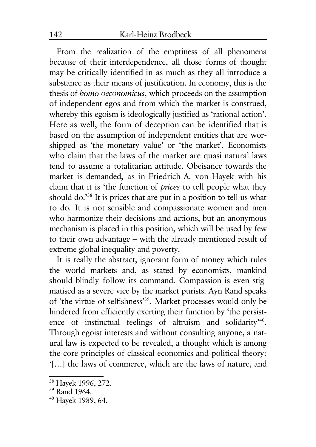From the realization of the emptiness of all phenomena because of their interdependence, all those forms of thought may be critically identified in as much as they all introduce a substance as their means of justification. In economy, this is the thesis of *homo oeconomicus*, which proceeds on the assumption of independent egos and from which the market is construed, whereby this egoism is ideologically justified as 'rational action'. Here as well, the form of deception can be identified that is based on the assumption of independent entities that are worshipped as 'the monetary value' or 'the market'. Economists who claim that the laws of the market are quasi natural laws tend to assume a totalitarian attitude. Obeisance towards the market is demanded, as in Friedrich A. von Hayek with his claim that it is 'the function of *prices* to tell people what they should do.'<sup>38</sup> It is prices that are put in a position to tell us what to do. It is not sensible and compassionate women and men who harmonize their decisions and actions, but an anonymous mechanism is placed in this position, which will be used by few to their own advantage – with the already mentioned result of extreme global inequality and poverty.

It is really the abstract, ignorant form of money which rules the world markets and, as stated by economists, mankind should blindly follow its command. Compassion is even stigmatised as a severe vice by the market purists. Ayn Rand speaks of 'the virtue of selfishness'<sup>39</sup> . Market processes would only be hindered from efficiently exerting their function by 'the persistence of instinctual feelings of altruism and solidarity<sup>140</sup>. Through egoist interests and without consulting anyone, a natural law is expected to be revealed, a thought which is among the core principles of classical economics and political theory: '[…] the laws of commerce, which are the laws of nature, and

<sup>38</sup> Hayek 1996, 272.

<sup>&</sup>lt;sup>39</sup> Rand 1964.

<sup>40</sup> Hayek 1989, 64.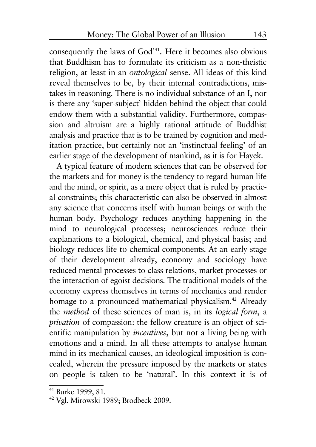consequently the laws of God'<sup>41</sup> . Here it becomes also obvious that Buddhism has to formulate its criticism as a non-theistic religion, at least in an *ontological* sense. All ideas of this kind reveal themselves to be, by their internal contradictions, mistakes in reasoning. There is no individual substance of an I, nor is there any 'super-subject' hidden behind the object that could endow them with a substantial validity. Furthermore, compassion and altruism are a highly rational attitude of Buddhist analysis and practice that is to be trained by cognition and meditation practice, but certainly not an 'instinctual feeling' of an earlier stage of the development of mankind, as it is for Hayek.

A typical feature of modern sciences that can be observed for the markets and for money is the tendency to regard human life and the mind, or spirit, as a mere object that is ruled by practical constraints; this characteristic can also be observed in almost any science that concerns itself with human beings or with the human body. Psychology reduces anything happening in the mind to neurological processes; neurosciences reduce their explanations to a biological, chemical, and physical basis; and biology reduces life to chemical components. At an early stage of their development already, economy and sociology have reduced mental processes to class relations, market processes or the interaction of egoist decisions. The traditional models of the economy express themselves in terms of mechanics and render homage to a pronounced mathematical physicalism.<sup>42</sup> Already the *method* of these sciences of man is, in its *logical form*, a *privation* of compassion: the fellow creature is an object of scientific manipulation by *incentives*, but not a living being with emotions and a mind. In all these attempts to analyse human mind in its mechanical causes, an ideological imposition is concealed, wherein the pressure imposed by the markets or states on people is taken to be 'natural'. In this context it is of

<sup>41</sup> Burke 1999, 81.

<sup>42</sup> Vgl. Mirowski 1989; Brodbeck 2009.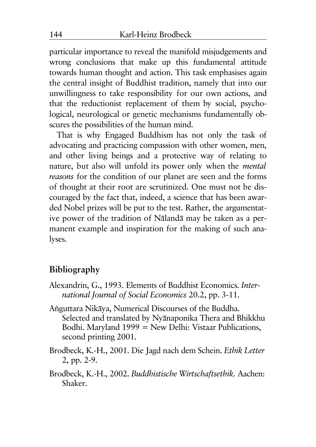particular importance to reveal the manifold misjudgements and wrong conclusions that make up this fundamental attitude towards human thought and action. This task emphasises again the central insight of Buddhist tradition, namely that into our unwillingness to take responsibility for our own actions, and that the reductionist replacement of them by social, psychological, neurological or genetic mechanisms fundamentally obscures the possibilities of the human mind.

That is why Engaged Buddhism has not only the task of advocating and practicing compassion with other women, men, and other living beings and a protective way of relating to nature, but also will unfold its power only when the *mental reasons* for the condition of our planet are seen and the forms of thought at their root are scrutinized. One must not be discouraged by the fact that, indeed, a science that has been awarded Nobel prizes will be put to the test. Rather, the argumentative power of the tradition of Nālandā may be taken as a permanent example and inspiration for the making of such analyses.

## **Bibliography**

- Alexandrin, G., 1993. Elements of Buddhist Economics. *International Journal of Social Economics* 20.2, pp. 3-11.
- Anguttara Nikāya, Numerical Discourses of the Buddha. Selected and translated by Nyānaponika Thera and Bhikkhu Bodhi. Maryland 1999 = New Delhi: Vistaar Publications, second printing 2001.
- Brodbeck, K.-H., 2001. Die Jagd nach dem Schein. *Ethik Letter* 2, pp. 2-9.
- Brodbeck, K.-H., 2002. *Buddhistische Wirtschaftsethik*. Aachen: Shaker.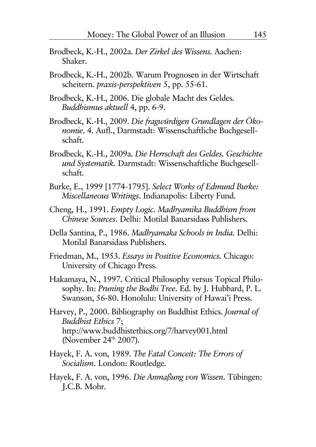- Brodbeck, K.-H., 2002a. *Der Zirkel des Wissens.* Aachen: Shaker.
- Brodbeck, K.-H., 2002b. Warum Prognosen in der Wirtschaft scheitern. *praxis-perspektiven* 5, pp. 55-61.
- Brodbeck, K.-H., 2006. Die globale Macht des Geldes. *Buddhismus aktuell* 4, pp. 6-9.
- Brodbeck, K.-H., 2009. Die fragwürdigen Grundlagen der Öko*nomie*. 4. Aufl., Darmstadt: Wissenschaftliche Buchgesellschaft.
- Brodbeck, K.-H., 2009a. *Die Herrschaft des Geldes. Geschichte und Systematik.* Darmstadt: Wissenschaftliche Buchgesellschaft.
- Burke, E., 1999 [1774-1795]. *Select Works of Edmund Burke: Miscellaneous Writings*. Indianapolis: Liberty Fund.
- Cheng, H., 1991. *Empty Logic. Madhyamika Buddhism from Chinese Sources*. Delhi: Motilal Banarsidass Publishers.
- Della Santina, P., 1986. *Madhyamaka Schools in India.* Delhi: Motilal Banarsidass Publishers.
- Friedman, M., 1953. *Essays in Positive Economics.* Chicago: University of Chicago Press.
- Hakamaya, N., 1997. Critical Philosophy versus Topical Philosophy. In: *Pruning the Bodhi Tree*. Ed. by J. Hubbard, P. L. Swanson, 56-80. Honolulu: University of Hawai'i Press.
- Harvey, P., 2000. Bibliography on Buddhist Ethics. *Journal of Buddhist Ethics* 7; http://www.buddhistethics.org/7/harvey001.html (November 24<sup>th</sup> 2007).
- Hayek, F. A. von, 1989. *The Fatal Conceit: The Errors of Socialism*. London: Routledge.
- Hayek, F. A. von, 1996. *Die Anmaâung von Wissen*. Tébingen: J.C.B. Mohr.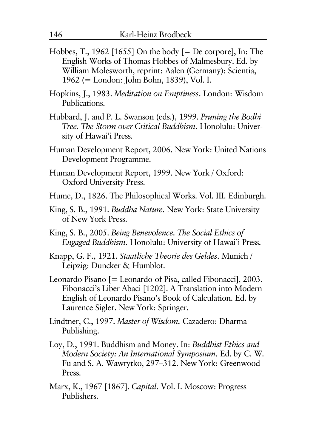- Hobbes, T., 1962 [1655] On the body [= De corpore], In: The English Works of Thomas Hobbes of Malmesbury. Ed. by William Molesworth, reprint: Aalen (Germany): Scientia, 1962 (= London: John Bohn, 1839), Vol. I.
- Hopkins, J., 1983. *Meditation on Emptiness*. London: Wisdom Publications.
- Hubbard, J. and P. L. Swanson (eds.), 1999. *Pruning the Bodhi Tree. The Storm over Critical Buddhism*. Honolulu: University of Hawai'i Press.
- Human Development Report, 2006. New York: United Nations Development Programme.
- Human Development Report, 1999. New York / Oxford: Oxford University Press.
- Hume, D., 1826. The Philosophical Works. Vol. III. Edinburgh.
- King, S. B., 1991. *Buddha Nature*. New York: State University of New York Press.
- King, S. B., 2005. *Being Benevolence. The Social Ethics of Engaged Buddhism*. Honolulu: University of Hawai'i Press.
- Knapp, G. F., 1921. *Staatliche Theorie des Geldes*. Munich / Leipzig: Duncker & Humblot.
- Leonardo Pisano [= Leonardo of Pisa, called Fibonacci], 2003. Fibonacci's Liber Abaci [1202]. A Translation into Modern English of Leonardo Pisano's Book of Calculation. Ed. by Laurence Sigler. New York: Springer.
- Lindtner, C., 1997. *Master of Wisdom.* Cazadero: Dharma Publishing.
- Loy, D., 1991. Buddhism and Money. In: *Buddhist Ethics and Modern Society: An International Symposium*. Ed. by C. W. Fu and S. A. Wawrytko, 297–312. New York: Greenwood Press.
- Marx, K., 1967 [1867]. *Capital.* Vol. I. Moscow: Progress Publishers.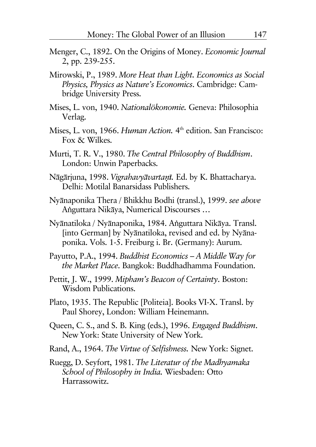- Menger, C., 1892. On the Origins of Money. *Economic Journal* 2, pp. 239-255.
- Mirowski, P., 1989. *More Heat than Light. Economics as Social Physics, Physics as Nature's Economics*. Cambridge: Cambridge University Press.
- Mises, L. von, 1940. *Nationalökonomie*. Geneva: Philosophia Verlag.
- Mises, L. von, 1966. *Human Action*. 4<sup>th</sup> edition. San Francisco: Fox & Wilkes.
- Murti, T. R. V., 1980. *The Central Philosophy of Buddhism*. London: Unwin Paperbacks.
- Nāgārjuna, 1998. *Vigrahavyāvartanī*, Ed. by K. Bhattacharya. Delhi: Motilal Banarsidass Publishers.
- NyÄnaponika Thera / Bhikkhu Bodhi (transl.), 1999. *see above* Anguttara Nikāya, Numerical Discourses ...
- Nyānatiloka / Nyānaponika, 1984. Anguttara Nikāya. Transl. [into German] by NyÄnatiloka, revised and ed. by NyÄnaponika. Vols. 1-5. Freiburg i. Br. (Germany): Aurum.
- Payutto, P.A., 1994. *Buddhist Economics A Middle Way for the Market Place*. Bangkok: Buddhadhamma Foundation.
- Pettit, J. W., 1999. *Mipham's Beacon of Certainty*. Boston: Wisdom Publications.
- Plato, 1935. The Republic [Politeia]. Books VI-X. Transl. by Paul Shorey, London: William Heinemann.
- Queen, C. S., and S. B. King (eds.), 1996. *Engaged Buddhism*. New York: State University of New York.
- Rand, A., 1964. *The Virtue of Selfishness.* New York: Signet.
- Ruegg, D. Seyfort, 1981. *The Literatur of the Madhyamaka School of Philosophy in India.* Wiesbaden: Otto Harrassowitz.